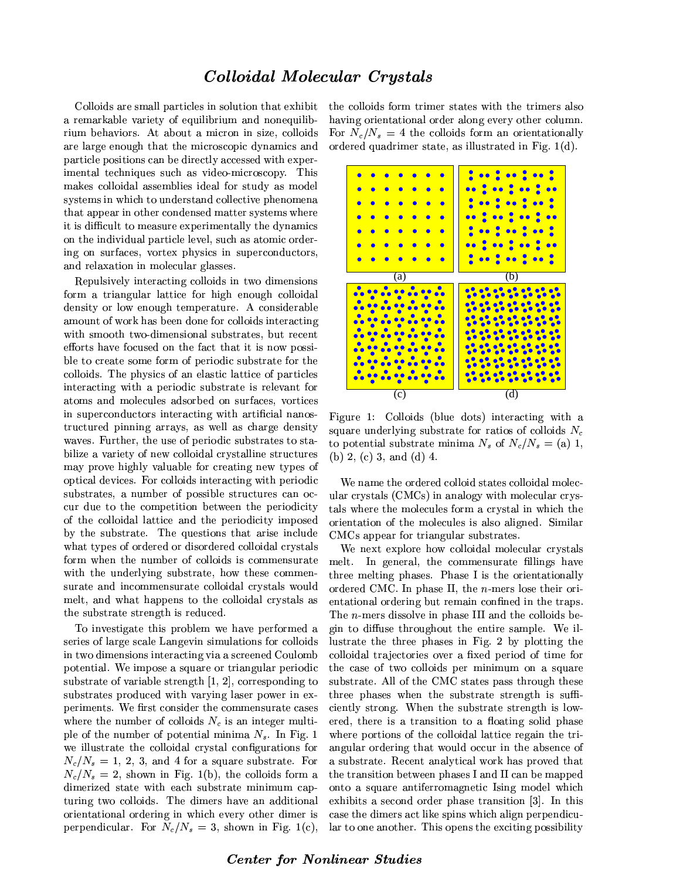## Colloidal Molecular Crystals

Colloids are small particles in solution that exhibit a remarkable variety of equilibrium and nonequilibrium behaviors. At about a micron in size, colloids are large enough that the microscopic dynamics and particle positions can be directly accessed with experimental techniques such as video-microscopy. This makes colloidal assemblies ideal for study as model systems in which to understand collective phenomena that appear in other condensed matter systems where it is difficult to measure experimentally the dynamics on the individual particle level, such as atomic ordering on surfaces, vortex physics in superconductors, and relaxation in molecular glasses.

Repulsively interacting colloids in two dimensions form a triangular lattice for high enough colloidal density or low enough temperature. A considerable amount of work has been done for colloids interacting with smooth two-dimensional substrates, but recent efforts have focused on the fact that it is now possible to create some form of periodic substrate for the colloids. The physics of an elastic lattice of particles interacting with a periodic substrate is relevant for atoms and molecules adsorbed on surfaces, vortices in superconductors interacting with artificial nanostructured pinning arrays, as well as charge density waves. Further, the use of periodic substrates to stabilize a variety of new colloidal crystalline structures may prove highly valuable for creating new types of optical devices. For colloids interacting with periodic substrates, a number of possible structures can occur due to the competition between the periodicity of the colloidal lattice and the periodicity imposed by the substrate. The questions that arise include what types of ordered or disordered colloidal crystals form when the number of colloids is commensurate with the underlying substrate, how these commensurate and incommensurate colloidal crystals would melt, and what happens to the colloidal crystals as the substrate strength is reduced.

To investigate this problem we have performed a series of large scale Langevin simulations for colloids in two dimensions interacting via a screened Coulomb potential. We impose a square or triangular periodic substrate of variable strength  $[1, 2]$ , corresponding to substrates produced with varying laser power in experiments. We first consider the commensurate cases where the number of colloids  $N_c$  is an integer multiple of the number of potential minima  $N_s$ . In Fig. 1 we illustrate the colloidal crystal configurations for  $N_c/N_s = 1, 2, 3,$  and 4 for a square substrate. For  $N_c/N_s = 2$ , shown in Fig. 1(b), the colloids form a dimerized state with each substrate minimum capturing two colloids. The dimers have an additional orientational ordering in which every other dimer is perpendicular. For  $N_c/N_s = 3$ , shown in Fig. 1(c),

the colloids form trimer states with the trimers also having orientational order along every other column. For  $N_c/N_s = 4$  the colloids form an orientationally ordered quadrimer state, as illustrated in Fig. 1(d).



Figure 1: Colloids (blue dots) interacting with a square underlying substrate for ratios of colloids  $N_c$ to potential substrate minima  $N_s$  of  $N_c/N_s =$  (a) 1, (b)  $2$ , (c)  $3$ , and (d)  $4$ .

We name the ordered colloid states colloidal molecular crystals (CMCs) in analogy with molecular crystals where the molecules form a crystal in which the orientation of the molecules is also aligned. Similar CMCs appear for triangular substrates.

We next explore how colloidal molecular crystals melt. In general, the commensurate fillings have three melting phases. Phase I is the orientationally ordered CMC. In phase II, the  $n$ -mers lose their orientational ordering but remain confined in the traps. The  $n$ -mers dissolve in phase III and the colloids begin to diffuse throughout the entire sample. We illustrate the three phases in Fig. 2 by plotting the colloidal trajectories over a fixed period of time for the case of two colloids per minimum on a square substrate. All of the CMC states pass through these three phases when the substrate strength is sufficiently strong. When the substrate strength is lowered, there is a transition to a floating solid phase where portions of the colloidal lattice regain the triangular ordering that would occur in the absence of a substrate. Recent analytical work has proved that the transition between phases I and II can be mapped onto a square antiferromagnetic Ising model which exhibits a second order phase transition [3]. In this case the dimers act like spins which align perpendicular to one another. This opens the exciting possibility